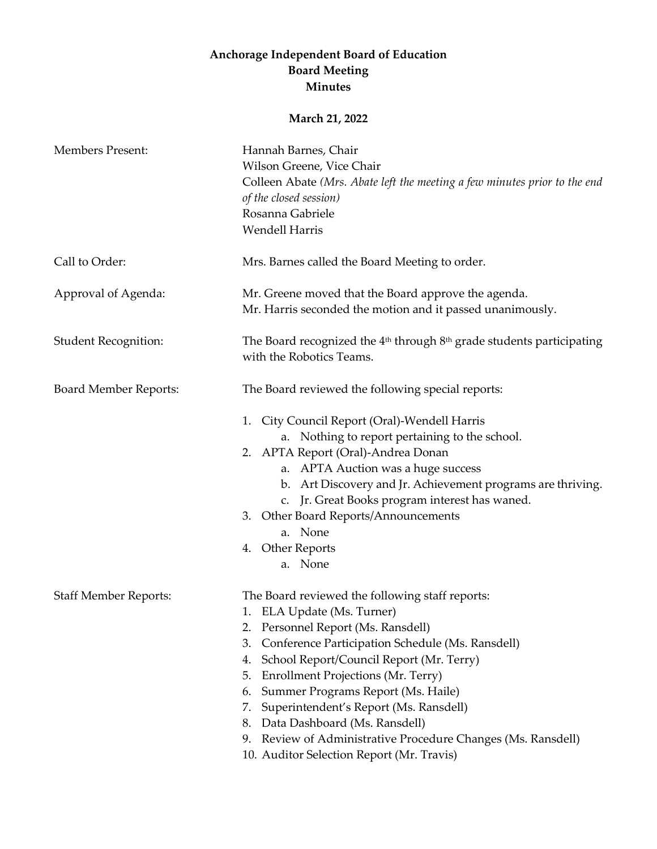## **Anchorage Independent Board of Education Board Meeting Minutes**

## **March 21, 2022**

| <b>Members Present:</b>      | Hannah Barnes, Chair<br>Wilson Greene, Vice Chair<br>Colleen Abate (Mrs. Abate left the meeting a few minutes prior to the end<br>of the closed session)<br>Rosanna Gabriele                                                                                                                                                                                                                                                                                                                                                             |
|------------------------------|------------------------------------------------------------------------------------------------------------------------------------------------------------------------------------------------------------------------------------------------------------------------------------------------------------------------------------------------------------------------------------------------------------------------------------------------------------------------------------------------------------------------------------------|
|                              | <b>Wendell Harris</b>                                                                                                                                                                                                                                                                                                                                                                                                                                                                                                                    |
| Call to Order:               | Mrs. Barnes called the Board Meeting to order.                                                                                                                                                                                                                                                                                                                                                                                                                                                                                           |
| Approval of Agenda:          | Mr. Greene moved that the Board approve the agenda.<br>Mr. Harris seconded the motion and it passed unanimously.                                                                                                                                                                                                                                                                                                                                                                                                                         |
| <b>Student Recognition:</b>  | The Board recognized the $4th$ through $8th$ grade students participating<br>with the Robotics Teams.                                                                                                                                                                                                                                                                                                                                                                                                                                    |
| <b>Board Member Reports:</b> | The Board reviewed the following special reports:                                                                                                                                                                                                                                                                                                                                                                                                                                                                                        |
|                              | City Council Report (Oral)-Wendell Harris<br>1.<br>a. Nothing to report pertaining to the school.<br>2. APTA Report (Oral)-Andrea Donan<br>a. APTA Auction was a huge success<br>b. Art Discovery and Jr. Achievement programs are thriving.<br>c. Jr. Great Books program interest has waned.<br>3. Other Board Reports/Announcements<br>a. None<br>4. Other Reports<br>a. None                                                                                                                                                         |
| <b>Staff Member Reports:</b> | The Board reviewed the following staff reports:<br>1. ELA Update (Ms. Turner)<br>Personnel Report (Ms. Ransdell)<br>2.<br>Conference Participation Schedule (Ms. Ransdell)<br>3.<br>School Report/Council Report (Mr. Terry)<br>4.<br><b>Enrollment Projections (Mr. Terry)</b><br>5.<br>Summer Programs Report (Ms. Haile)<br>6.<br>Superintendent's Report (Ms. Ransdell)<br>7.<br>Data Dashboard (Ms. Ransdell)<br>8.<br>Review of Administrative Procedure Changes (Ms. Ransdell)<br>9.<br>10. Auditor Selection Report (Mr. Travis) |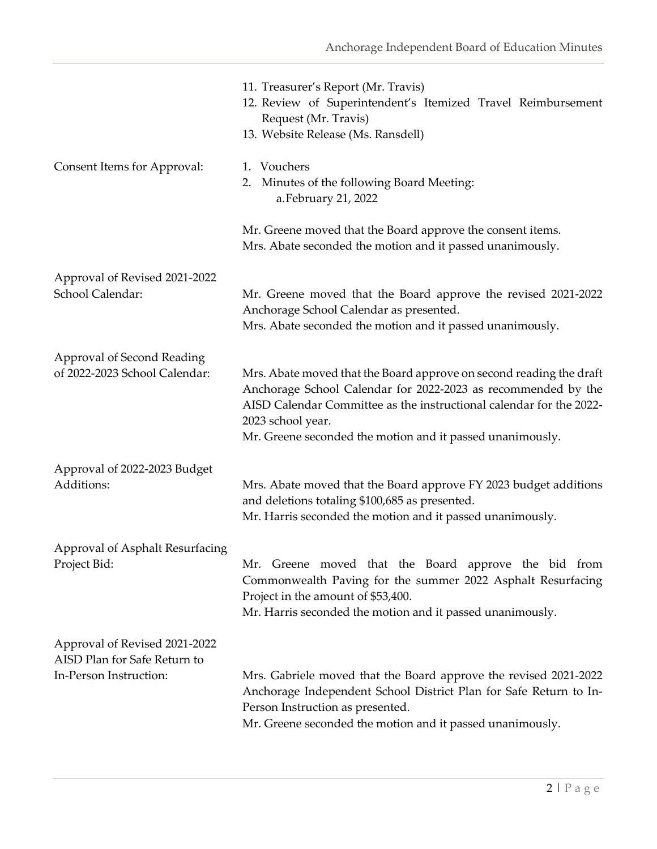|                                                               | 11. Treasurer's Report (Mr. Travis)<br>12. Review of Superintendent's Itemized Travel Reimbursement<br>Request (Mr. Travis)<br>13. Website Release (Ms. Ransdell)                                                                                                                             |
|---------------------------------------------------------------|-----------------------------------------------------------------------------------------------------------------------------------------------------------------------------------------------------------------------------------------------------------------------------------------------|
| Consent Items for Approval:                                   | 1. Vouchers<br>2. Minutes of the following Board Meeting:<br>a. February 21, 2022                                                                                                                                                                                                             |
|                                                               | Mr. Greene moved that the Board approve the consent items.<br>Mrs. Abate seconded the motion and it passed unanimously.                                                                                                                                                                       |
| Approval of Revised 2021-2022<br>School Calendar:             | Mr. Greene moved that the Board approve the revised 2021-2022<br>Anchorage School Calendar as presented.<br>Mrs. Abate seconded the motion and it passed unanimously.                                                                                                                         |
| Approval of Second Reading<br>of 2022-2023 School Calendar:   | Mrs. Abate moved that the Board approve on second reading the draft<br>Anchorage School Calendar for 2022-2023 as recommended by the<br>AISD Calendar Committee as the instructional calendar for the 2022-<br>2023 school year.<br>Mr. Greene seconded the motion and it passed unanimously. |
| Approval of 2022-2023 Budget<br>Additions:                    | Mrs. Abate moved that the Board approve FY 2023 budget additions<br>and deletions totaling \$100,685 as presented.<br>Mr. Harris seconded the motion and it passed unanimously.                                                                                                               |
| Approval of Asphalt Resurfacing<br>Project Bid:               | Mr. Greene moved that the Board approve the bid from<br>Commonwealth Paving for the summer 2022 Asphalt Resurfacing<br>Project in the amount of \$53,400.<br>Mr. Harris seconded the motion and it passed unanimously.                                                                        |
| Approval of Revised 2021-2022<br>AISD Plan for Safe Return to |                                                                                                                                                                                                                                                                                               |
| In-Person Instruction:                                        | Mrs. Gabriele moved that the Board approve the revised 2021-2022<br>Anchorage Independent School District Plan for Safe Return to In-<br>Person Instruction as presented.<br>Mr. Greene seconded the motion and it passed unanimously.                                                        |